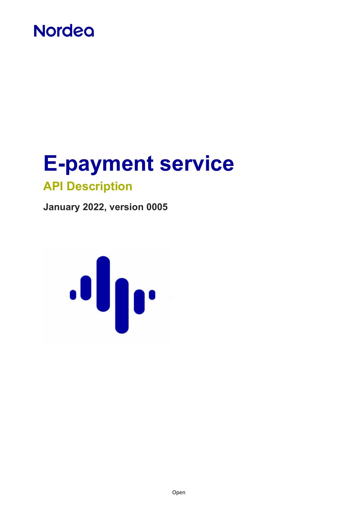## **Nordea**

# **E-payment service**

## **API Description**

**January 2022, version 0005**

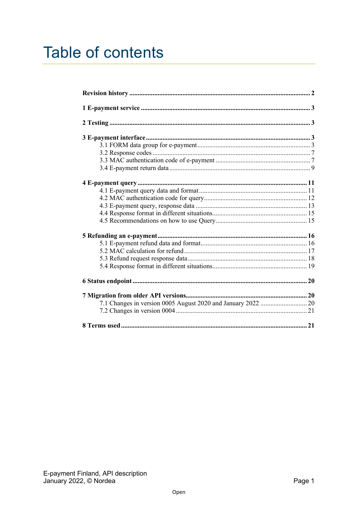## **Table of contents**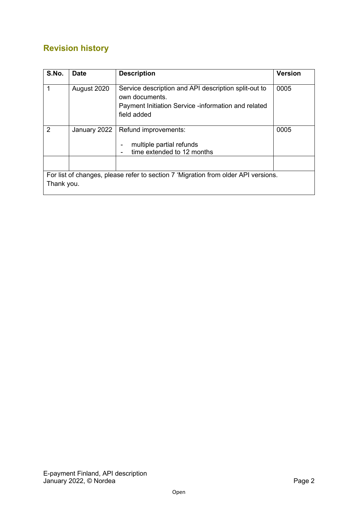## <span id="page-2-0"></span>**Revision history**

| S.No. | <b>Date</b>                                                                                      | <b>Description</b>                                                                                                                           | <b>Version</b> |  |  |  |
|-------|--------------------------------------------------------------------------------------------------|----------------------------------------------------------------------------------------------------------------------------------------------|----------------|--|--|--|
| 1     | August 2020                                                                                      | Service description and API description split-out to<br>own documents.<br>Payment Initiation Service -information and related<br>field added | 0005           |  |  |  |
| 2     | January 2022                                                                                     | Refund improvements:<br>multiple partial refunds<br>time extended to 12 months                                                               | 0005           |  |  |  |
|       |                                                                                                  |                                                                                                                                              |                |  |  |  |
|       | For list of changes, please refer to section 7 'Migration from older API versions.<br>Thank you. |                                                                                                                                              |                |  |  |  |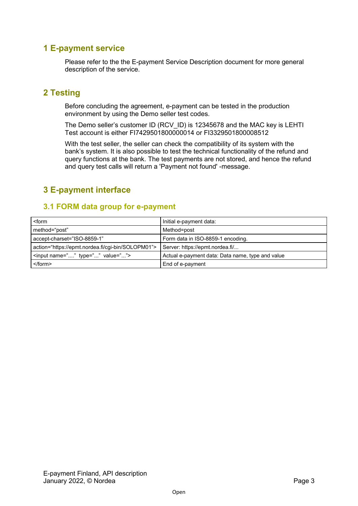## <span id="page-3-0"></span>**1 E-payment service**

Please refer to the the E-payment Service Description document for more general description of the service.

## <span id="page-3-1"></span>**2 Testing**

Before concluding the agreement, e-payment can be tested in the production environment by using the Demo seller test codes.

The Demo seller's customer ID (RCV\_ID) is 12345678 and the MAC key is LEHTI Test account is either FI7429501800000014 or FI3329501800008512

With the test seller, the seller can check the compatibility of its system with the bank's system. It is also possible to test the technical functionality of the refund and query functions at the bank. The test payments are not stored, and hence the refund and query test calls will return a 'Payment not found' -message.

## <span id="page-3-2"></span>**3 E-payment interface**

## <span id="page-3-3"></span>**3.1 FORM data group for e-payment**

| <form< th=""><th>Initial e-payment data:</th></form<> | Initial e-payment data:                          |
|-------------------------------------------------------|--------------------------------------------------|
| method="post"                                         | Method=post                                      |
| accept-charset="ISO-8859-1"                           | Form data in ISO-8859-1 encoding.                |
| action="https://epmt.nordea.fi/cgi-bin/SOLOPM01">     | Server: https://epmt.nordea.fi/                  |
| <input name="" type="" value=""/>                     | Actual e-payment data: Data name, type and value |
| $<$ /form>                                            | End of e-payment                                 |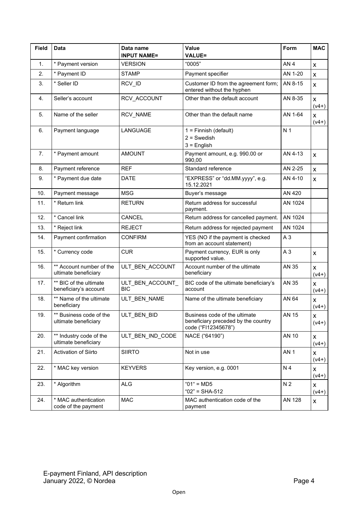| <b>Field</b> | <b>Data</b>                                      | Data name<br><b>INPUT NAME=</b> | <b>Value</b><br><b>VALUE=</b>                                                               | Form            | <b>MAC</b>                    |
|--------------|--------------------------------------------------|---------------------------------|---------------------------------------------------------------------------------------------|-----------------|-------------------------------|
| 1.           | * Payment version                                | <b>VERSION</b>                  | "0005"                                                                                      | AN <sub>4</sub> | X                             |
| 2.           | * Payment ID                                     | <b>STAMP</b>                    | Payment specifier                                                                           | AN 1-20         | $\pmb{\times}$                |
| 3.           | * Seller ID                                      | RCV_ID                          | Customer ID from the agreement form;<br>entered without the hyphen                          | AN 8-15         | X                             |
| 4.           | Seller's account                                 | RCV ACCOUNT                     | Other than the default account                                                              | AN 8-35         | $\pmb{\times}$<br>$(v4+)$     |
| 5.           | Name of the seller                               | RCV NAME                        | Other than the default name                                                                 | AN 1-64         | X<br>$(v4+)$                  |
| 6.           | Payment language                                 | LANGUAGE                        | 1 = Finnish (default)<br>$2 =$ Swedish<br>$3$ = English                                     | N 1             |                               |
| 7.           | * Payment amount                                 | <b>AMOUNT</b>                   | Payment amount, e.g. 990.00 or<br>990,00                                                    | AN 4-13         | X                             |
| 8.           | Payment reference                                | <b>REF</b>                      | Standard reference                                                                          | AN 2-25         | $\pmb{\times}$                |
| 9.           | * Payment due date                               | <b>DATE</b>                     | "EXPRESS" or "dd.MM.yyyy", e.g.<br>15.12.2021                                               | AN 4-10         | $\pmb{\times}$                |
| 10.          | Payment message                                  | <b>MSG</b>                      | Buyer's message                                                                             | AN 420          |                               |
| 11.          | * Return link                                    | <b>RETURN</b>                   | Return address for successful<br>payment.                                                   | AN 1024         |                               |
| 12.          | * Cancel link                                    | CANCEL                          | Return address for cancelled payment.                                                       | AN 1024         |                               |
| 13.          | * Reject link                                    | <b>REJECT</b>                   | Return address for rejected payment                                                         | AN 1024         |                               |
| 14.          | Payment confirmation                             | <b>CONFIRM</b>                  | YES (NO if the payment is checked<br>from an account statement)                             | A <sub>3</sub>  |                               |
| 15.          | * Currency code                                  | <b>CUR</b>                      | Payment currency, EUR is only<br>supported value.                                           | A <sub>3</sub>  | X                             |
| 16.          | ** Account number of the<br>ultimate beneficiary | ULT_BEN_ACCOUNT                 | Account number of the ultimate<br>beneficiary                                               | AN 35           | X<br>$(v4+)$                  |
| 17.          | ** BIC of the ultimate<br>beneficiary's account  | ULT_BEN_ACCOUNT_<br><b>BIC</b>  | BIC code of the ultimate beneficiary's<br>account                                           | AN 35           | X<br>$(v4+)$                  |
| 18.          | ** Name of the ultimate<br>beneficiary           | ULT BEN NAME                    | Name of the ultimate beneficiary                                                            | AN 64           | X<br>$(v4+)$                  |
| 19.          | ** Business code of the<br>ultimate beneficiary  | ULT_BEN_BID                     | Business code of the ultimate<br>beneficiary preceded by the country<br>code ("FI12345678") | <b>AN 15</b>    | $\pmb{\mathsf{x}}$<br>$(v4+)$ |
| 20.          | ** Industry code of the<br>ultimate beneficiary  | ULT BEN IND CODE                | NACE ("64190")                                                                              | AN 10           | X<br>$(v4+)$                  |
| 21.          | Activation of Siirto                             | <b>SIIRTO</b>                   | Not in use                                                                                  | AN <sub>1</sub> | X<br>$(v4+)$                  |
| 22.          | * MAC key version                                | <b>KEYVERS</b>                  | Key version, e.g. 0001                                                                      | N 4             | X<br>$(v4+)$                  |
| 23.          | * Algorithm                                      | <b>ALG</b>                      | $"01" = MD5$<br>"02" = $SHA-512$                                                            | N <sub>2</sub>  | X<br>$(v4+)$                  |
| 24.          | * MAC authentication<br>code of the payment      | <b>MAC</b>                      | MAC authentication code of the<br>payment                                                   | AN 128          | X                             |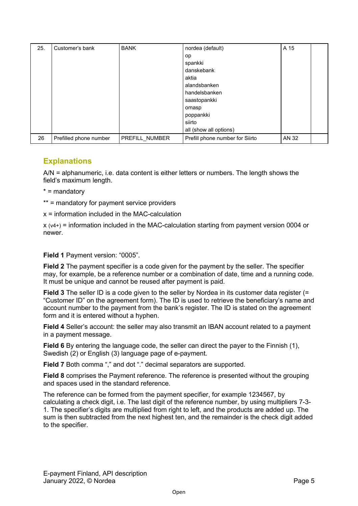| 25. | Customer's bank        | <b>BANK</b>    | nordea (default)                | A 15  |  |
|-----|------------------------|----------------|---------------------------------|-------|--|
|     |                        |                | op                              |       |  |
|     |                        |                | spankki                         |       |  |
|     |                        |                | danskebank                      |       |  |
|     |                        |                | aktia                           |       |  |
|     |                        |                | alandsbanken                    |       |  |
|     |                        |                | handelsbanken                   |       |  |
|     |                        |                | saastopankki                    |       |  |
|     |                        |                | omasp                           |       |  |
|     |                        |                | poppankki                       |       |  |
|     |                        |                | siirto                          |       |  |
|     |                        |                | all (show all options)          |       |  |
| 26  | Prefilled phone number | PREFILL_NUMBER | Prefill phone number for Siirto | AN 32 |  |

## **Explanations**

A/N = alphanumeric, i.e. data content is either letters or numbers. The length shows the field's maximum length.

\* = mandatory

\*\* = mandatory for payment service providers

x = information included in the MAC-calculation

 $x$  ( $v4+$ ) = information included in the MAC-calculation starting from payment version 0004 or newer.

#### **Field 1** Payment version: "0005".

**Field 2** The payment specifier is a code given for the payment by the seller. The specifier may, for example, be a reference number or a combination of date, time and a running code. It must be unique and cannot be reused after payment is paid.

**Field 3** The seller ID is a code given to the seller by Nordea in its customer data register (= "Customer ID" on the agreement form). The ID is used to retrieve the beneficiary's name and account number to the payment from the bank's register. The ID is stated on the agreement form and it is entered without a hyphen.

**Field 4** Seller's account: the seller may also transmit an IBAN account related to a payment in a payment message.

**Field 6** By entering the language code, the seller can direct the payer to the Finnish (1), Swedish (2) or English (3) language page of e-payment.

**Field 7** Both comma "," and dot "." decimal separators are supported.

**Field 8** comprises the Payment reference. The reference is presented without the grouping and spaces used in the standard reference.

The reference can be formed from the payment specifier, for example 1234567, by calculating a check digit, i.e. The last digit of the reference number, by using multipliers 7-3- 1. The specifier's digits are multiplied from right to left, and the products are added up. The sum is then subtracted from the next highest ten, and the remainder is the check digit added to the specifier.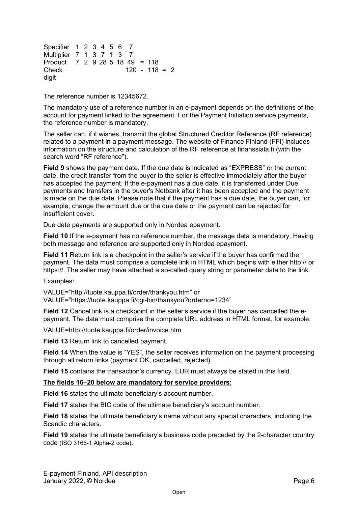Specifier 1 2 3 4 5 6 7 Multiplier 7 1 3 7 1 3 7 Product 7 2 9 28 5 18 49 = 118 Check digit 120 - 118 = 2

The reference number is 12345672.

The mandatory use of a reference number in an e-payment depends on the definitions of the account for payment linked to the agreement. For the Payment Initiation service payments, the reference number is mandatory.

The seller can, if it wishes, transmit the global Structured Creditor Reference (RF reference) related to a payment in a payment message. The website of Finance Finland (FFI) includes information on the structure and calculation of the RF reference at finanssiala.fi (with the search word "RF reference").

**Field 9** shows the payment date. If the due date is indicated as "EXPRESS" or the current date, the credit transfer from the buyer to the seller is effective immediately after the buyer has accepted the payment. If the e-payment has a due date, it is transferred under Due payments and transfers in the buyer's Netbank after it has been accepted and the payment is made on the due date. Please note that if the payment has a due date, the buyer can, for example, change the amount due or the due date or the payment can be rejected for insufficient cover.

Due date payments are supported only in Nordea epayment.

**Field 10** If the e-payment has no reference number, the message data is mandatory. Having both message and reference are supported only in Nordea epayment.

**Field 11** Return link is a checkpoint in the seller's service if the buyer has confirmed the payment. The data must comprise a complete link in HTML which begins with either http:// or https://. The seller may have attached a so-called query string or parameter data to the link.

Examples:

VALUE="http://tuote.kauppa.fi/order/thankyou.htm" or VALUE="https://tuote.kauppa.fi/cgi-bin/thankyou?orderno=1234"

**Field 12** Cancel link is a checkpoint in the seller's service if the buyer has cancelled the epayment. The data must comprise the complete URL address in HTML format, for example:

VALUE=http://tuote.kauppa.fi/order/invoice.htm

**Field 13** Return link to cancelled payment.

**Field 14** When the value is "YES", the seller receives information on the payment processing through all return links (payment OK, cancelled, rejected).

**Field 15** contains the transaction's currency. EUR must always be stated in this field.

#### **The fields 16–20 below are mandatory for service providers**:

**Field 16** states the ultimate beneficiary's account number.

Field 17 states the BIC code of the ultimate beneficiary's account number.

**Field 18** states the ultimate beneficiary's name without any special characters, including the Scandic characters.

**Field 19** states the ultimate beneficiary's business code preceded by the 2-character country code (ISO 3166-1 Alpha-2 code).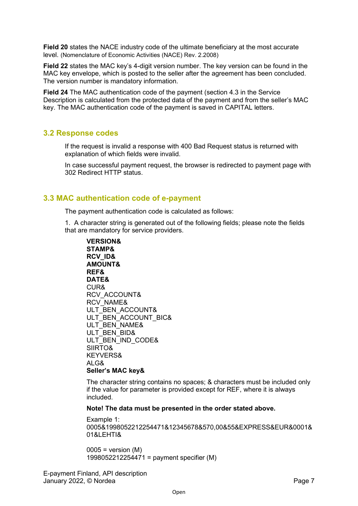**Field 20** states the NACE industry code of the ultimate beneficiary at the most accurate level. (Nomenclature of Economic Activities (NACE) Rev. 2.2008)

**Field 22** states the MAC key's 4-digit version number. The key version can be found in the MAC key envelope, which is posted to the seller after the agreement has been concluded. The version number is mandatory information.

**Field 24** The MAC authentication code of the payment (section 4.3 in the Service Description is calculated from the protected data of the payment and from the seller's MAC key. The MAC authentication code of the payment is saved in CAPITAL letters.

## <span id="page-7-0"></span>**3.2 Response codes**

If the request is invalid a response with 400 Bad Request status is returned with explanation of which fields were invalid.

In case successful payment request, the browser is redirected to payment page with 302 Redirect HTTP status.

## <span id="page-7-1"></span>**3.3 MAC authentication code of e-payment**

The payment authentication code is calculated as follows:

1. A character string is generated out of the following fields; please note the fields that are mandatory for service providers.

**VERSION& STAMP& RCV\_ID& AMOUNT& REF& DATE&** CUR& RCV\_ACCOUNT& RCV\_NAME& ULT\_BEN\_ACCOUNT& ULT\_BEN\_ACCOUNT\_BIC& ULT\_BEN\_NAME& ULT\_BEN\_BID& ULT\_BEN\_IND\_CODE& SIIRTO& KEYVERS& ALG& **Seller's MAC key&**

The character string contains no spaces; & characters must be included only if the value for parameter is provided except for REF, where it is always included.

#### **Note! The data must be presented in the order stated above.**

Example 1: 0005&1998052212254471&12345678&570,00&55&EXPRESS&EUR&0001& 01&LEHTI&

 $0005$  = version (M) 1998052212254471 = payment specifier (M)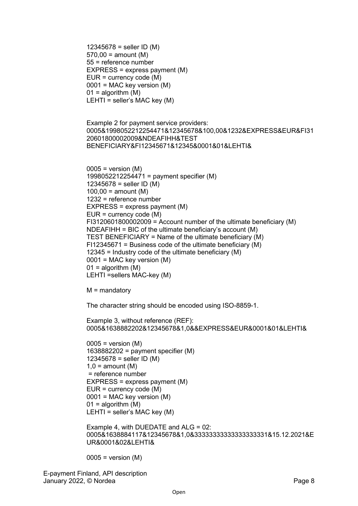```
12345678 = seller ID (M)570,00 = amount (M)
55 = reference number
EXPRESS = express payment (M)
EUR = currency code (M)
0001 = MAC key version (M)
01 = algorithm (M)
LEHTI = seller's MAC key (M)
```
Example 2 for payment service providers: 0005&1998052212254471&12345678&100,00&1232&EXPRESS&EUR&FI31 20601800002009&NDEAFIHH&TEST BENEFICIARY&FI12345671&12345&0001&01&LEHTI&

```
0005 = version (M)
1998052212254471 = payment specifier (M)
12345678 = seller ID (M)
100.00 = amount (M)
1232 = reference number
EXPRESS = express payment (M)
EUR = currency code (M)
FI3120601800002009 = Account number of the ultimate beneficiary (M)NDEAFIHH = BIC of the ultimate beneficiary's account (M)
TEST BENEFICIARY = Name of the ultimate beneficiary (M)
FI12345671 = Business code of the ultimate beneficiary (M)
12345 = Industry code of the ultimate beneficiary (M)
0001 = MAC key version (M)
01 = algorithm (M)
LEHTI =sellers MAC-key (M)
```

```
M = mandatory
```
The character string should be encoded using ISO-8859-1.

Example 3, without reference (REF): 0005&1638882202&12345678&1,0&&EXPRESS&EUR&0001&01&LEHTI&

```
0005 = version (M)
1638882202 = payment specifier (M) 
12345678 = seller ID (M)
1.0 = amount (M)
= reference number 
EXPRESS = express payment (M) 
EUR = currency code (M)
0001 = MAC key version (M)
01 = algorithm (M)
LEHTI = seller's MAC key (M)
```

```
Example 4, with DUEDATE and ALG = 02:
0005&1638884117&12345678&1,0&33333333333333333331&15.12.2021&E
UR&0001&02&LEHTI&
```

```
0005 = version (M)
```
E-payment Finland, API description January 2022, © Nordea Page 8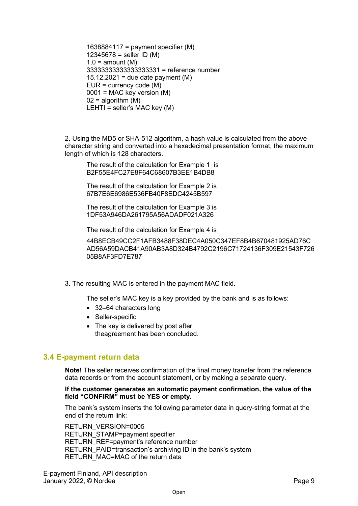1638884117 = payment specifier  $(M)$ 12345678 = seller ID  $(M)$  $1,0$  = amount (M) 33333333333333333331 = reference number 15.12.2021 = due date payment (M) EUR = currency code (M) 0001 = MAC key version (M)  $02$  = algorithm (M) LEHTI = seller's MAC key (M)

2. Using the MD5 or SHA-512 algorithm, a hash value is calculated from the above character string and converted into a hexadecimal presentation format, the maximum length of which is 128 characters.

The result of the calculation for Example 1 is B2F55E4FC27E8F64C68607B3EE1B4DB8

The result of the calculation for Example 2 is 67B7E6E6986E536FB40F8EDC4245B597

The result of the calculation for Example 3 is 1DF53A946DA261795A56ADADF021A326

The result of the calculation for Example 4 is

44B8ECB49CC2F1AFB3488F38DEC4A050C347EF8B4B670481925AD76C AD56A59DACB41A90AB3A8D324B4792C2196C71724136F309E21543F726 05B8AF3FD7E787

3. The resulting MAC is entered in the payment MAC field.

The seller's MAC key is a key provided by the bank and is as follows:

- 32–64 characters long
- Seller-specific
- The key is delivered by post after theagreement has been concluded.

### <span id="page-9-0"></span>**3.4 E-payment return data**

**Note!** The seller receives confirmation of the final money transfer from the reference data records or from the account statement, or by making a separate query.

#### **If the customer generates an automatic payment confirmation, the value of the field "CONFIRM" must be YES or empty.**

The bank's system inserts the following parameter data in query-string format at the end of the return link:

RETURN\_VERSION=0005 RETURN\_STAMP=payment specifier RETURN\_REF=payment's reference number RETURN\_PAID=transaction's archiving ID in the bank's system RETURN\_MAC=MAC of the return data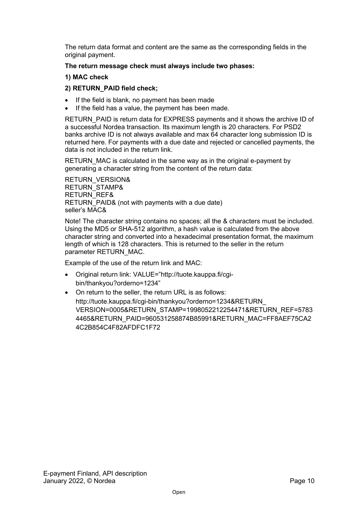The return data format and content are the same as the corresponding fields in the original payment.

### **The return message check must always include two phases:**

## **1) MAC check**

## **2) RETURN\_PAID field check;**

- If the field is blank, no payment has been made
- If the field has a value, the payment has been made.

RETURN\_PAID is return data for EXPRESS payments and it shows the archive ID of a successful Nordea transaction. Its maximum length is 20 characters. For PSD2 banks archive ID is not always available and max 64 character long submission ID is returned here. For payments with a due date and rejected or cancelled payments, the data is not included in the return link.

RETURN MAC is calculated in the same way as in the original e-payment by generating a character string from the content of the return data:

RETURN\_VERSION& RETURN\_STAMP& RETURN\_REF& RETURN PAID& (not with payments with a due date) seller's MAC&

Note! The character string contains no spaces; all the & characters must be included. Using the MD5 or SHA-512 algorithm, a hash value is calculated from the above character string and converted into a hexadecimal presentation format, the maximum length of which is 128 characters. This is returned to the seller in the return parameter RETURN\_MAC.

Example of the use of the return link and MAC:

- Original return link: VALUE="http://tuote.kauppa.fi/cgibin/thankyou?orderno=1234"
- On return to the seller, the return URL is as follows: http://tuote.kauppa.fi/cgi-bin/thankyou?orderno=1234&RETURN\_ VERSION=0005&RETURN\_STAMP=1998052212254471&RETURN\_REF=5783 4465&RETURN\_PAID=960531258874B85991&RETURN\_MAC=FF8AEF75CA2 4C2B854C4F82AFDFC1F72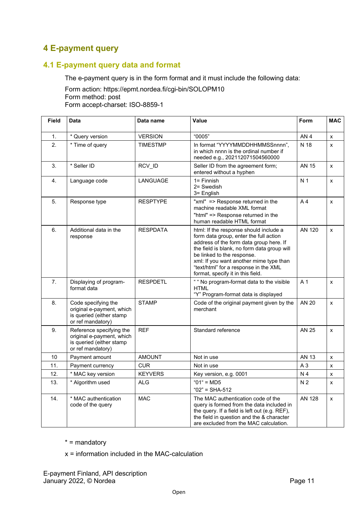## <span id="page-11-0"></span>**4 E-payment query**

## <span id="page-11-1"></span>**4.1 E-payment query data and format**

The e-payment query is in the form format and it must include the following data:

Form action: https://epmt.nordea.fi/cgi-bin/SOLOPM10 Form method: post Form accept-charset: ISO-8859-1

| <b>Field</b>   | Data                                                                                                   | Data name       | Value                                                                                                                                                                                                                                                                                                                             | Form            | <b>MAC</b>         |
|----------------|--------------------------------------------------------------------------------------------------------|-----------------|-----------------------------------------------------------------------------------------------------------------------------------------------------------------------------------------------------------------------------------------------------------------------------------------------------------------------------------|-----------------|--------------------|
| $\mathbf{1}$ . | * Query version                                                                                        | <b>VERSION</b>  | "0005"                                                                                                                                                                                                                                                                                                                            | AN <sub>4</sub> | $\pmb{\mathsf{x}}$ |
| 2.             | * Time of query                                                                                        | <b>TIMESTMP</b> | In format "YYYYMMDDHHMMSSnnnn",<br>in which nnnn is the ordinal number if<br>needed e.g., 202112071504560000                                                                                                                                                                                                                      | N 18            | $\mathsf{x}$       |
| 3.             | * Seller ID                                                                                            | RCV_ID          | Seller ID from the agreement form;<br>entered without a hyphen                                                                                                                                                                                                                                                                    | AN 15           | X                  |
| 4.             | Language code                                                                                          | LANGUAGE        | $1 =$ Finnish<br>2= Swedish<br>3= English                                                                                                                                                                                                                                                                                         | N <sub>1</sub>  | $\mathsf{x}$       |
| 5.             | Response type                                                                                          | <b>RESPTYPE</b> | "xml" => Response returned in the<br>machine readable XML format<br>"html" => Response returned in the<br>human readable HTML format                                                                                                                                                                                              | A <sub>4</sub>  | X                  |
| 6.             | Additional data in the<br>response                                                                     | <b>RESPDATA</b> | html: If the response should include a<br>form data group, enter the full action<br>address of the form data group here. If<br>the field is blank, no form data group will<br>be linked to the response.<br>xml: If you want another mime type than<br>"text/html" for a response in the XML<br>format, specify it in this field. | AN 120          | $\mathsf{x}$       |
| 7.             | Displaying of program-<br>format data                                                                  | <b>RESPDETL</b> | " " No program-format data to the visible<br><b>HTML</b><br>"Y" Program-format data is displayed                                                                                                                                                                                                                                  | A 1             | $\mathsf{x}$       |
| 8.             | Code specifying the<br>original e-payment, which<br>is queried (either stamp<br>or ref mandatory)      | <b>STAMP</b>    | Code of the original payment given by the<br>merchant                                                                                                                                                                                                                                                                             | <b>AN 20</b>    | $\mathsf{x}$       |
| 9.             | Reference specifying the<br>original e-payment, which<br>is queried (either stamp<br>or ref mandatory) | <b>REF</b>      | Standard reference                                                                                                                                                                                                                                                                                                                | AN 25           | X                  |
| 10             | Payment amount                                                                                         | <b>AMOUNT</b>   | Not in use                                                                                                                                                                                                                                                                                                                        | AN 13           | $\pmb{\mathsf{X}}$ |
| 11.            | Payment currency                                                                                       | <b>CUR</b>      | Not in use                                                                                                                                                                                                                                                                                                                        | A <sub>3</sub>  | X                  |
| 12.            | * MAC key version                                                                                      | <b>KEYVERS</b>  | Key version, e.g. 0001                                                                                                                                                                                                                                                                                                            | N 4             | X                  |
| 13.            | * Algorithm used                                                                                       | <b>ALG</b>      | $"01" = MD5$<br>"02" = $SHA-512$                                                                                                                                                                                                                                                                                                  | N <sub>2</sub>  | $\mathsf{x}$       |
| 14.            | * MAC authentication<br>code of the query                                                              | <b>MAC</b>      | The MAC authentication code of the<br>query is formed from the data included in<br>the query. If a field is left out (e.g. REF),<br>the field in question and the & character<br>are excluded from the MAC calculation.                                                                                                           | AN 128          | X                  |

\* = mandatory

x = information included in the MAC-calculation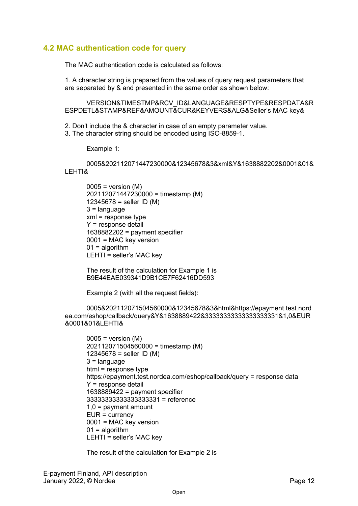## <span id="page-12-0"></span>**4.2 MAC authentication code for query**

The MAC authentication code is calculated as follows:

1. A character string is prepared from the values of query request parameters that are separated by & and presented in the same order as shown below:

VERSION&TIMESTMP&RCV\_ID&LANGUAGE&RESPTYPE&RESPDATA&R ESPDETL&STAMP&REF&AMOUNT&CUR&KEYVERS&ALG&Seller's MAC key&

2. Don't include the & character in case of an empty parameter value.

3. The character string should be encoded using ISO-8859-1.

Example 1:

0005&202112071447230000&12345678&3&xml&Y&1638882202&0001&01& LEHTI&

 $0005$  = version (M) 202112071447230000 = timestamp (M) 12345678 = seller ID  $(M)$ 3 = language xml = response type Y = response detail 1638882202 = payment specifier 0001 = MAC key version  $01$  = algorithm LEHTI = seller's MAC key

The result of the calculation for Example 1 is B9E44EAE039341D9B1CE7F62416DD593

Example 2 (with all the request fields):

0005&202112071504560000&12345678&3&html&https://epayment.test.nord ea.com/eshop/callback/query&Y&1638889422&33333333333333333331&1,0&EUR &0001&01&LEHTI&

 $0005$  = version (M) 202112071504560000 = timestamp (M) 12345678 = seller ID  $(M)$ 3 = language html = response type https://epayment.test.nordea.com/eshop/callback/query = response data Y = response detail 1638889422 = payment specifier 33333333333333333331 = reference 1,0 = payment amount EUR = currency 0001 = MAC key version  $01$  = algorithm LEHTI = seller's MAC key

The result of the calculation for Example 2 is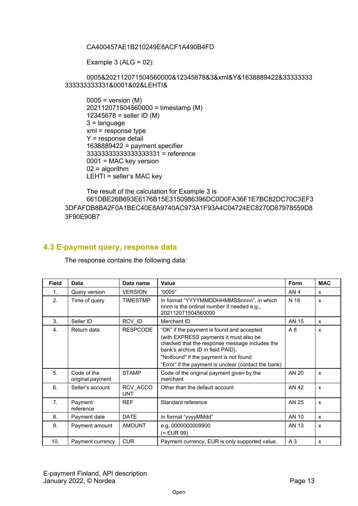#### CA400457AE1B210249E8ACF1A490B4FD

Example 3 ( $ALG = 02$ ):

#### 0005&202112071504560000&12345678&3&xml&Y&1638889422&33333333 333333333331&0001&02&LEHTI&

 $0005$  = version (M) 202112071504560000 = timestamp (M) 12345678 = seller ID  $(M)$ 3 = language  $xml =$  response type Y = response detail 1638889422 = payment specifier 33333333333333333331 = reference 0001 = MAC key version  $02$  = algorithm LEHTI = seller's MAC key

The result of the calculation for Example 3 is 661DBE26B693E6176B15E3150986396DC0D0FA36F1E7BC82DC70C3EF3 3DFAFDB8BA2F0A1BEC40E8A9740AC973A1F93A4C04724EC8270D87978559D8 3F90E90B7

## <span id="page-13-0"></span>**4.3 E-payment query, response data**

The response contains the following data:

| <b>Field</b>   | <b>Data</b>                     | Data name              | Value                                                                                                                                                                                                                                                                        | Form            | <b>MAC</b>                |
|----------------|---------------------------------|------------------------|------------------------------------------------------------------------------------------------------------------------------------------------------------------------------------------------------------------------------------------------------------------------------|-----------------|---------------------------|
| 1.             | Query version                   | <b>VERSION</b>         | "0005"                                                                                                                                                                                                                                                                       | AN <sub>4</sub> | X                         |
| 2.             | Time of query                   | <b>TIMESTMP</b>        | In format "YYYYMMDDHHMMSSnnnn", in which<br>nnnn is the ordinal number if needed e.g.,<br>202112071504560000                                                                                                                                                                 | N 18            | $\boldsymbol{\mathsf{x}}$ |
| 3.             | Seller ID                       | RCV ID                 | Merchant ID                                                                                                                                                                                                                                                                  | <b>AN 15</b>    | $\mathsf{x}$              |
| $\mathbf{4}$ . | Return data                     | <b>RESPCODE</b>        | "OK" if the payment is found and accepted<br>(with EXPRESS payments it must also be<br>checked that the response message includes the<br>bank's archive ID in field PAID).<br>"Notfound" if the payment is not found<br>"Error" if the payment is unclear (contact the bank) | A8              | X                         |
| 5.             | Code of the<br>original payment | <b>STAMP</b>           | Code of the original payment given by the<br>merchant                                                                                                                                                                                                                        | <b>AN 20</b>    | X                         |
| 6.             | Seller's account                | RCV ACCO<br><b>UNT</b> | Other than the default account                                                                                                                                                                                                                                               | AN 42           | X                         |
| 7 <sub>1</sub> | Payment<br>reference            | <b>REF</b>             | Standard reference                                                                                                                                                                                                                                                           | AN 25           | X                         |
| 8.             | Payment date                    | <b>DATE</b>            | In format "yyyyMMdd"                                                                                                                                                                                                                                                         | AN 10           | $\mathsf{x}$              |
| 9.             | Payment amount                  | <b>AMOUNT</b>          | e.g. 0000000009900<br>(= EUR 99)                                                                                                                                                                                                                                             | AN 13           | X                         |
| 10.            | Payment currency                | <b>CUR</b>             | Payment currency, EUR is only supported value.                                                                                                                                                                                                                               | A <sub>3</sub>  | x                         |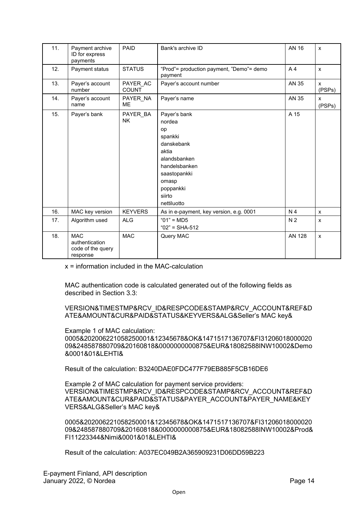| 11. | Payment archive<br>ID for express<br>payments                 | PAID                     | Bank's archive ID                                                                                                                                              | <b>AN 16</b>   | X            |
|-----|---------------------------------------------------------------|--------------------------|----------------------------------------------------------------------------------------------------------------------------------------------------------------|----------------|--------------|
| 12. | Payment status                                                | <b>STATUS</b>            | "Prod"= production payment, "Demo"= demo<br>payment                                                                                                            | A <sub>4</sub> | $\mathsf{x}$ |
| 13. | Payer's account<br>number                                     | PAYER_AC<br><b>COUNT</b> | Payer's account number                                                                                                                                         | AN 35          | X<br>(PSPs)  |
| 14. | Payer's account<br>name                                       | PAYER NA<br><b>ME</b>    | Payer's name                                                                                                                                                   | AN 35          | x<br>(PSPs)  |
| 15. | Payer's bank                                                  | PAYER BA<br><b>NK</b>    | Payer's bank<br>nordea<br>op<br>spankki<br>danskebank<br>aktia<br>alandsbanken<br>handelsbanken<br>saastopankki<br>omasp<br>poppankki<br>siirto<br>nettiluotto | A 15           |              |
| 16. | MAC key version                                               | <b>KEYVERS</b>           | As in e-payment, key version, e.g. 0001                                                                                                                        | N 4            | X            |
| 17. | Algorithm used                                                | <b>ALG</b>               | $"01" = MD5$<br>$"02" = SHA-512"$                                                                                                                              | N <sub>2</sub> | X            |
| 18. | <b>MAC</b><br>authentication<br>code of the query<br>response | <b>MAC</b>               | Query MAC                                                                                                                                                      | <b>AN 128</b>  | $\mathsf{x}$ |

x = information included in the MAC-calculation

MAC authentication code is calculated generated out of the following fields as described in Section 3.3:

VERSION&TIMESTMP&RCV\_ID&RESPCODE&STAMP&RCV\_ACCOUNT&REF&D ATE&AMOUNT&CUR&PAID&STATUS&KEYVERS&ALG&Seller's MAC key&

Example 1 of MAC calculation: 0005&202006221058250001&12345678&OK&1471517136707&FI31206018000020 09&248587880709&20160818&0000000000875&EUR&18082588INW10002&Demo &0001&01&LEHTI&

Result of the calculation: B3240DAE0FDC477F79EB885F5CB16DE6

Example 2 of MAC calculation for payment service providers: VERSION&TIMESTMP&RCV\_ID&RESPCODE&STAMP&RCV\_ACCOUNT&REF&D ATE&AMOUNT&CUR&PAID&STATUS&PAYER\_ACCOUNT&PAYER\_NAME&KEY VERS&ALG&Seller's MAC key&

0005&202006221058250001&12345678&OK&1471517136707&FI31206018000020 09&248587880709&20160818&0000000000875&EUR&18082588INW10002&Prod& FI11223344&Nimi&0001&01&LEHTI&

Result of the calculation: A037EC049B2A365909231D06DD59B223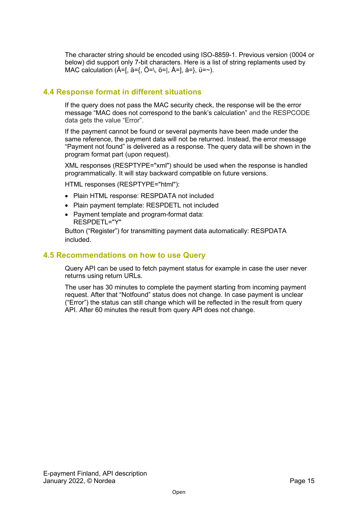The character string should be encoded using ISO-8859-1. Previous version (0004 or below) did support only 7-bit characters. Here is a list of string replaments used by MAC calculation ( $\ddot{A}$ =[,  $\ddot{a}$ ={,  $\ddot{O}$ =\,  $\ddot{o}$ =|,  $\ddot{A}$ =],  $\ddot{a}$ =},  $\ddot{u}$ =~).

## <span id="page-15-0"></span>**4.4 Response format in different situations**

If the query does not pass the MAC security check, the response will be the error message "MAC does not correspond to the bank's calculation" and the RESPCODE data gets the value "Error".

If the payment cannot be found or several payments have been made under the same reference, the payment data will not be returned. Instead, the error message "Payment not found" is delivered as a response. The query data will be shown in the program format part (upon request).

XML responses (RESPTYPE="xml") should be used when the response is handled programmatically. It will stay backward compatible on future versions.

HTML responses (RESPTYPE="html"):

- Plain HTML response: RESPDATA not included
- Plain payment template: RESPDETL not included
- Payment template and program-format data: RESPDETL="Y"

Button ("Register") for transmitting payment data automatically: RESPDATA included.

### <span id="page-15-1"></span>**4.5 Recommendations on how to use Query**

Query API can be used to fetch payment status for example in case the user never returns using return URLs.

The user has 30 minutes to complete the payment starting from incoming payment request. After that "Notfound" status does not change. In case payment is unclear ("Error") the status can still change which will be reflected in the result from query API. After 60 minutes the result from query API does not change.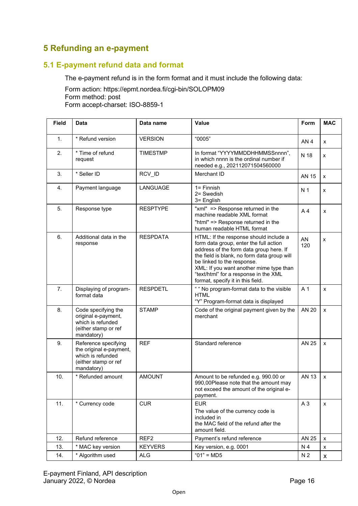## <span id="page-16-0"></span>**5 Refunding an e-payment**

## <span id="page-16-1"></span>**5.1 E-payment refund data and format**

The e-payment refund is in the form format and it must include the following data:

Form action: https://epmt.nordea.fi/cgi-bin/SOLOPM09 Form method: post Form accept-charset: ISO-8859-1

| <b>Field</b>   | <b>Data</b>                                                                                                | Data name        | Value                                                                                                                                                                                                                                                                                                                             | Form            | <b>MAC</b>         |
|----------------|------------------------------------------------------------------------------------------------------------|------------------|-----------------------------------------------------------------------------------------------------------------------------------------------------------------------------------------------------------------------------------------------------------------------------------------------------------------------------------|-----------------|--------------------|
| $\mathbf{1}$ . | * Refund version                                                                                           | <b>VERSION</b>   | "0005"                                                                                                                                                                                                                                                                                                                            | AN <sub>4</sub> | X                  |
| 2.             | * Time of refund<br>request                                                                                | <b>TIMESTMP</b>  | In format "YYYYMMDDHHMMSSnnnn",<br>in which nnnn is the ordinal number if<br>needed e.g., 202112071504560000                                                                                                                                                                                                                      | N 18            | X                  |
| 3.             | * Seller ID                                                                                                | RCV_ID           | Merchant ID                                                                                                                                                                                                                                                                                                                       | <b>AN 15</b>    | X                  |
| 4.             | Payment language                                                                                           | LANGUAGE         | $1 =$ Finnish<br>2= Swedish<br>3= English                                                                                                                                                                                                                                                                                         | N <sub>1</sub>  | X                  |
| 5.             | Response type                                                                                              | <b>RESPTYPE</b>  | "xml" => Response returned in the<br>machine readable XML format<br>"html" => Response returned in the<br>human readable HTML format                                                                                                                                                                                              | A <sub>4</sub>  | X                  |
| 6.             | Additional data in the<br>response                                                                         | <b>RESPDATA</b>  | HTML: If the response should include a<br>form data group, enter the full action<br>address of the form data group here. If<br>the field is blank, no form data group will<br>be linked to the response.<br>XML: If you want another mime type than<br>"text/html" for a response in the XML<br>format, specify it in this field. | AN<br>120       | X                  |
| 7.             | Displaying of program-<br>format data                                                                      | <b>RESPDETL</b>  | " " No program-format data to the visible<br><b>HTML</b><br>"Y" Program-format data is displayed                                                                                                                                                                                                                                  | A 1             | X                  |
| 8.             | Code specifying the<br>original e-payment,<br>which is refunded<br>(either stamp or ref<br>mandatory)      | <b>STAMP</b>     | Code of the original payment given by the<br>merchant                                                                                                                                                                                                                                                                             | <b>AN 20</b>    | X                  |
| 9.             | Reference specifying<br>the original e-payment,<br>which is refunded<br>(either stamp or ref<br>mandatory) | <b>REF</b>       | Standard reference                                                                                                                                                                                                                                                                                                                | <b>AN 25</b>    | X                  |
| 10.            | * Refunded amount                                                                                          | <b>AMOUNT</b>    | Amount to be refunded e.g. 990.00 or<br>990,00Please note that the amount may<br>not exceed the amount of the original e-<br>payment.                                                                                                                                                                                             | <b>AN 13</b>    | X                  |
| 11.            | * Currency code                                                                                            | CUR              | <b>EUR</b><br>The value of the currency code is<br>included in<br>the MAC field of the refund after the<br>amount field.                                                                                                                                                                                                          | A <sub>3</sub>  | $\pmb{\mathsf{X}}$ |
| 12.            | Refund reference                                                                                           | REF <sub>2</sub> | Payment's refund reference                                                                                                                                                                                                                                                                                                        | AN 25           | $\pmb{\mathsf{X}}$ |
| 13.            | * MAC key version                                                                                          | <b>KEYVERS</b>   | Key version, e.g. 0001                                                                                                                                                                                                                                                                                                            | N 4             | X                  |
| 14.            | * Algorithm used                                                                                           | <b>ALG</b>       | " $01" = MD5$                                                                                                                                                                                                                                                                                                                     | N <sub>2</sub>  | $\pmb{\mathsf{X}}$ |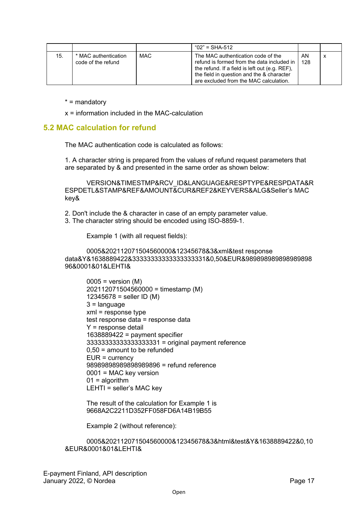|     |                                            |     | $"02" = SHA-512"$                                                                                                                                                                                                         |           |  |
|-----|--------------------------------------------|-----|---------------------------------------------------------------------------------------------------------------------------------------------------------------------------------------------------------------------------|-----------|--|
| 15. | * MAC authentication<br>code of the refund | MAC | The MAC authentication code of the<br>refund is formed from the data included in<br>the refund. If a field is left out (e.g. REF),<br>the field in question and the & character<br>are excluded from the MAC calculation. | AN<br>128 |  |

\* = mandatory

x = information included in the MAC-calculation

### <span id="page-17-0"></span>**5.2 MAC calculation for refund**

The MAC authentication code is calculated as follows:

1. A character string is prepared from the values of refund request parameters that are separated by & and presented in the same order as shown below:

VERSION&TIMESTMP&RCV\_ID&LANGUAGE&RESPTYPE&RESPDATA&R ESPDETL&STAMP&REF&AMOUNT&CUR&REF2&KEYVERS&ALG&Seller's MAC key&

2. Don't include the & character in case of an empty parameter value. 3. The character string should be encoded using ISO-8859-1.

Example 1 (with all request fields):

0005&202112071504560000&12345678&3&xml&test response data&Y&1638889422&33333333333333333331&0,50&EUR&989898989898989898 96&0001&01&LEHTI&

 $0005$  = version (M) 202112071504560000 = timestamp (M) 12345678 = seller ID  $(M)$ 3 = language xml = response type test response data = response data Y = response detail 1638889422 = payment specifier 33333333333333333331 = original payment reference 0,50 = amount to be refunded EUR = currency 98989898989898989896 = refund reference 0001 = MAC key version  $01$  = algorithm LEHTI = seller's MAC key

The result of the calculation for Example 1 is 9668A2C2211D352FF058FD6A14B19B55

Example 2 (without reference):

0005&202112071504560000&12345678&3&html&test&Y&1638889422&0,10 &EUR&0001&01&LEHTI&

E-payment Finland, API description January 2022, © Nordea Page 17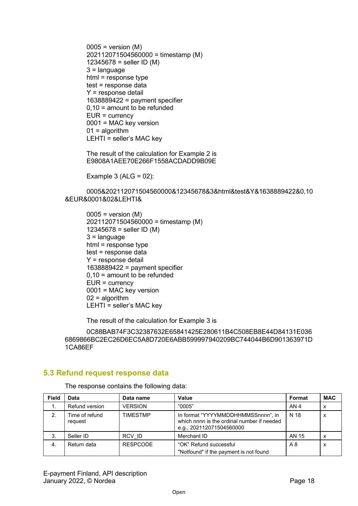$0005$  = version (M) 202112071504560000 = timestamp (M) 12345678 = seller ID  $(M)$  $3$  = language html = response type test = response data Y = response detail 1638889422 = payment specifier  $0,10$  = amount to be refunded EUR = currency 0001 = MAC key version  $01$  = algorithm LEHTI = seller's MAC key

The result of the calculation for Example 2 is E9808A1AEE70E266F1558ACDADD9B09E

Example  $3$  (ALG = 02):

0005&202112071504560000&12345678&3&html&test&Y&1638889422&0,10 &EUR&0001&02&LEHTI&

 $0005$  = version (M) 202112071504560000 = timestamp (M) 12345678 = seller ID  $(M)$ 3 = language html = response type test = response data Y = response detail 1638889422 = payment specifier 0,10 = amount to be refunded EUR = currency 0001 = MAC key version  $02$  = algorithm LEHTI = seller's MAC key

The result of the calculation for Example 3 is

0C88BAB74F3C32387632E65841425E280611B4C508EB8E44D84131E036 6869866BC2EC26D6EC5A8D720E6ABB599997940209BC744044B6D901363971D 1CA86EF

## <span id="page-18-0"></span>**5.3 Refund request response data**

The response contains the following data:

| <b>Field</b>     | Data                      | Data name       | Value                                                                                                        | Format          | <b>MAC</b> |
|------------------|---------------------------|-----------------|--------------------------------------------------------------------------------------------------------------|-----------------|------------|
|                  | Refund version            | <b>VERSION</b>  | "0005"                                                                                                       | AN <sub>4</sub> | x          |
| 2.               | Time of refund<br>request | <b>TIMESTMP</b> | In format "YYYYMMDDHHMMSSnnnn", in<br>which nnnn is the ordinal number if needed<br>e.g., 202112071504560000 | N 18            | x          |
| 3.               | Seller ID                 | RCV ID          | Merchant ID                                                                                                  | AN 15           | x          |
| $\overline{4}$ . | Return data               | <b>RESPCODE</b> | "OK" Refund successful                                                                                       | A8              | x          |
|                  |                           |                 | "Notfound" if the payment is not found                                                                       |                 |            |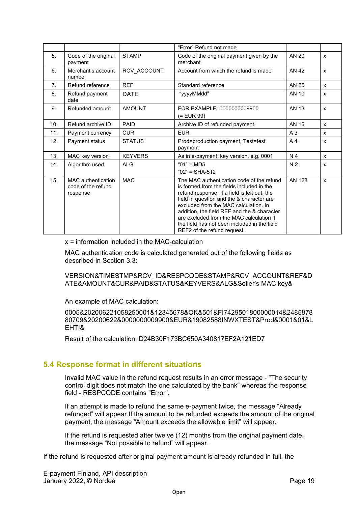|                |                                                             |                | "Error" Refund not made                                                                                                                                                                                                                                                                                                                                                                                |                |              |
|----------------|-------------------------------------------------------------|----------------|--------------------------------------------------------------------------------------------------------------------------------------------------------------------------------------------------------------------------------------------------------------------------------------------------------------------------------------------------------------------------------------------------------|----------------|--------------|
| 5.             | Code of the original<br>payment                             | <b>STAMP</b>   | Code of the original payment given by the<br>merchant                                                                                                                                                                                                                                                                                                                                                  | <b>AN 20</b>   | X            |
| 6.             | Merchant's account<br>number                                | RCV ACCOUNT    | Account from which the refund is made                                                                                                                                                                                                                                                                                                                                                                  | <b>AN 42</b>   | $\mathsf{x}$ |
| 7 <sub>1</sub> | Refund reference                                            | <b>REF</b>     | Standard reference                                                                                                                                                                                                                                                                                                                                                                                     | AN 25          | $\mathsf{x}$ |
| 8.             | Refund payment<br>date                                      | <b>DATE</b>    | "yyyyMMdd"                                                                                                                                                                                                                                                                                                                                                                                             | <b>AN 10</b>   | X            |
| 9.             | Refunded amount                                             | <b>AMOUNT</b>  | FOR EXAMPLE: 0000000009900<br>(= EUR 99)                                                                                                                                                                                                                                                                                                                                                               | <b>AN 13</b>   | X            |
| 10.            | Refund archive ID                                           | PAID           | Archive ID of refunded payment                                                                                                                                                                                                                                                                                                                                                                         | AN 16          | X            |
| 11.            | Payment currency                                            | <b>CUR</b>     | <b>EUR</b>                                                                                                                                                                                                                                                                                                                                                                                             | A <sub>3</sub> | X            |
| 12.            | Payment status                                              | <b>STATUS</b>  | Prod=production payment, Test=test<br>payment                                                                                                                                                                                                                                                                                                                                                          | A <sub>4</sub> | X            |
| 13.            | MAC key version                                             | <b>KEYVERS</b> | As in e-payment, key version, e.g. 0001                                                                                                                                                                                                                                                                                                                                                                | N <sub>4</sub> | $\mathsf{x}$ |
| 14.            | Algorithm used                                              | <b>ALG</b>     | " $01" = MDS$<br>" $02$ " = SHA-512                                                                                                                                                                                                                                                                                                                                                                    | N <sub>2</sub> | X            |
| 15.            | <b>MAC</b> authentication<br>code of the refund<br>response | <b>MAC</b>     | The MAC authentication code of the refund<br>is formed from the fields included in the<br>refund response. If a field is left out, the<br>field in question and the & character are<br>excluded from the MAC calculation. In<br>addition, the field REF and the & character<br>are excluded from the MAC calculation if<br>the field has not been included in the field<br>REF2 of the refund request. | AN 128         | X            |

x = information included in the MAC-calculation

MAC authentication code is calculated generated out of the following fields as described in Section 3.3:

VERSION&TIMESTMP&RCV\_ID&RESPCODE&STAMP&RCV\_ACCOUNT&REF&D ATE&AMOUNT&CUR&PAID&STATUS&KEYVERS&ALG&Seller's MAC key&

An example of MAC calculation:

0005&202006221058250001&12345678&OK&501&FI7429501800000014&2485878 80709&20200622&0000000009900&EUR&19082588INWXTEST&Prod&0001&01&L EHTI&

Result of the calculation: D24B30F173BC650A340817EF2A121ED7

## <span id="page-19-0"></span>**5.4 Response format in different situations**

Invalid MAC value in the refund request results in an error message - "The security control digit does not match the one calculated by the bank" whereas the response field - RESPCODE contains "Error".

If an attempt is made to refund the same e-payment twice, the message "Already refunded" will appear.If the amount to be refunded exceeds the amount of the original payment, the message "Amount exceeds the allowable limit" will appear.

If the refund is requested after twelve (12) months from the original payment date, the message "Not possible to refund" will appear.

If the refund is requested after original payment amount is already refunded in full, the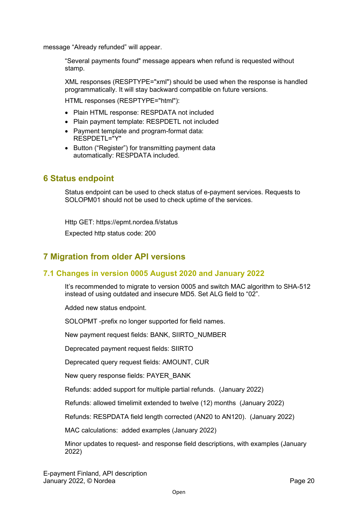message "Already refunded" will appear.

"Several payments found" message appears when refund is requested without stamp.

XML responses (RESPTYPE="xml") should be used when the response is handled programmatically. It will stay backward compatible on future versions.

HTML responses (RESPTYPE="html"):

- Plain HTML response: RESPDATA not included
- Plain payment template: RESPDETL not included
- Payment template and program-format data: RESPDETL="Y"
- Button ("Register") for transmitting payment data automatically: RESPDATA included.

## <span id="page-20-0"></span>**6 Status endpoint**

Status endpoint can be used to check status of e-payment services. Requests to SOLOPM01 should not be used to check uptime of the services.

Http GET: https://epmt.nordea.fi/status

Expected http status code: 200

## <span id="page-20-1"></span>**7 Migration from older API versions**

### <span id="page-20-2"></span>**7.1 Changes in version 0005 August 2020 and January 2022**

It's recommended to migrate to version 0005 and switch MAC algorithm to SHA-512 instead of using outdated and insecure MD5. Set ALG field to "02".

Added new status endpoint.

SOLOPMT -prefix no longer supported for field names.

New payment request fields: BANK, SIIRTO\_NUMBER

Deprecated payment request fields: SIIRTO

Deprecated query request fields: AMOUNT, CUR

New query response fields: PAYER\_BANK

Refunds: added support for multiple partial refunds. (January 2022)

Refunds: allowed timelimit extended to twelve (12) months (January 2022)

Refunds: RESPDATA field length corrected (AN20 to AN120). (January 2022)

MAC calculations: added examples (January 2022)

Minor updates to request- and response field descriptions, with examples (January 2022)